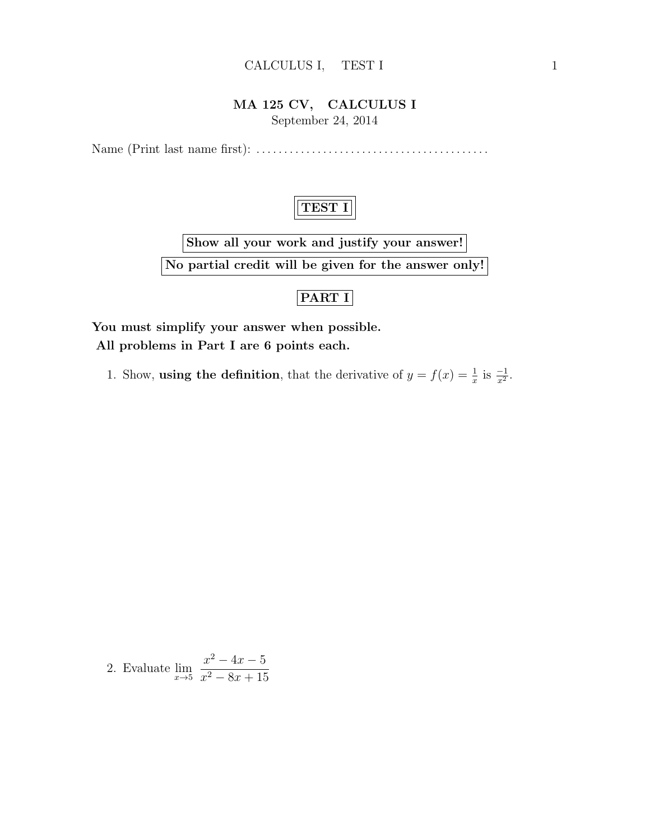#### CALCULUS I, TEST I 1

## MA 125 CV, CALCULUS I

September 24, 2014

Name (Print last name first): . . . . . . . . . . . . . . . . . . . . . . . . . . . . . . . . . . . . . . . . . .



Show all your work and justify your answer! No partial credit will be given for the answer only!

### PART I

You must simplify your answer when possible. All problems in Part I are 6 points each.

1. Show, **using the definition**, that the derivative of  $y = f(x) = \frac{1}{x}$  is  $\frac{-1}{x^2}$ .

2. Evaluate 
$$
\lim_{x \to 5} \frac{x^2 - 4x - 5}{x^2 - 8x + 15}
$$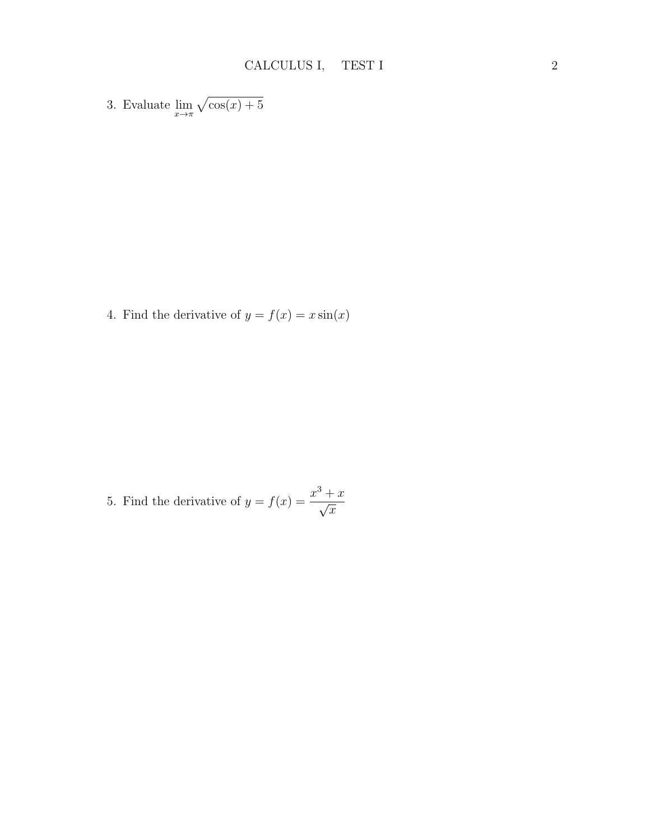3. Evaluate  $\lim_{x \to \pi} \sqrt{\cos(x) + 5}$ 

4. Find the derivative of  $y = f(x) = x \sin(x)$ 

5. Find the derivative of 
$$
y = f(x) = \frac{x^3 + x}{\sqrt{x}}
$$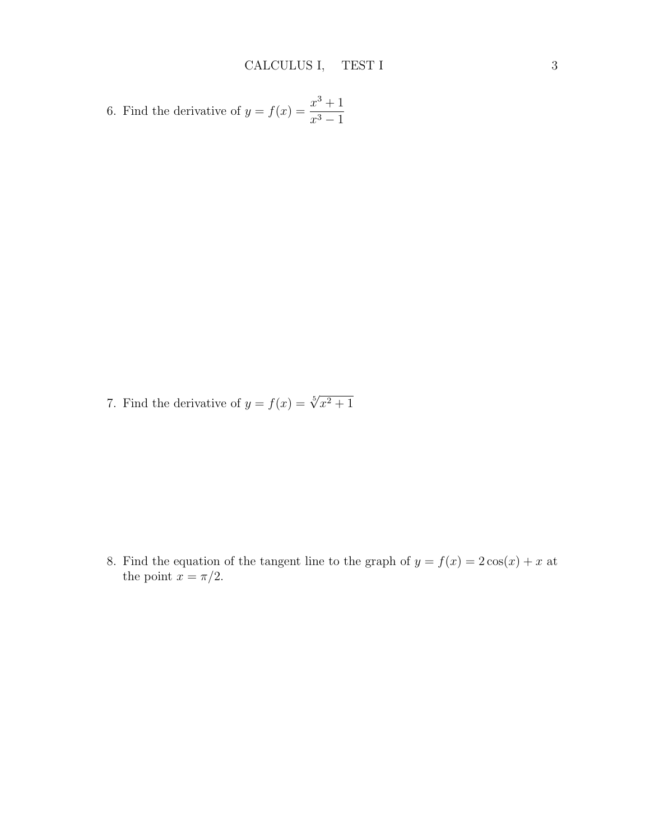6. Find the derivative of 
$$
y = f(x) = \frac{x^3 + 1}{x^3 - 1}
$$

7. Find the derivative of  $y = f(x) = \sqrt[5]{x^2 + 1}$ 

8. Find the equation of the tangent line to the graph of  $y = f(x) = 2\cos(x) + x$  at the point  $x = \pi/2$ .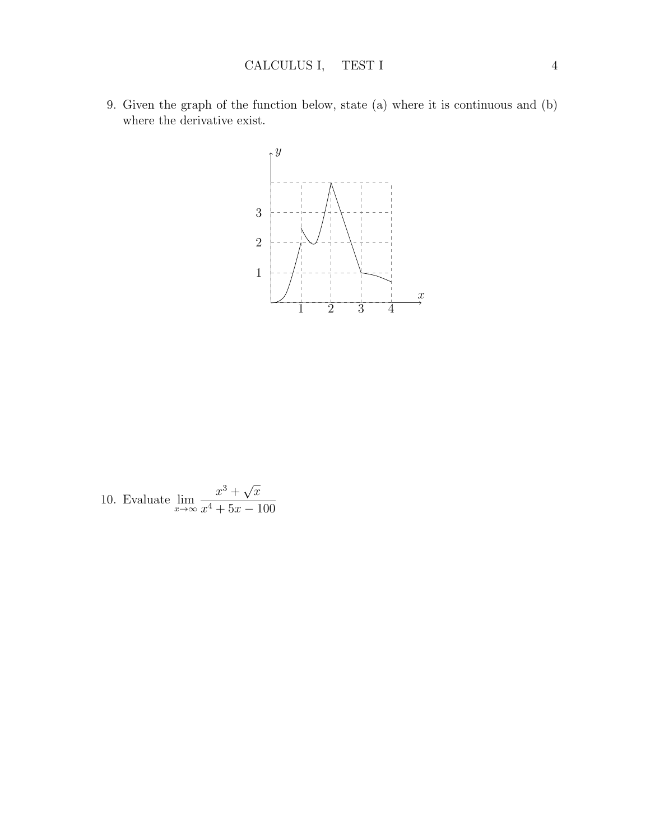9. Given the graph of the function below, state (a) where it is continuous and (b) where the derivative exist.



10. Evaluate  $\lim_{x\to\infty}$  $x^3 + \sqrt{ }$  $\overline{x}$  $x^4 + 5x - 100$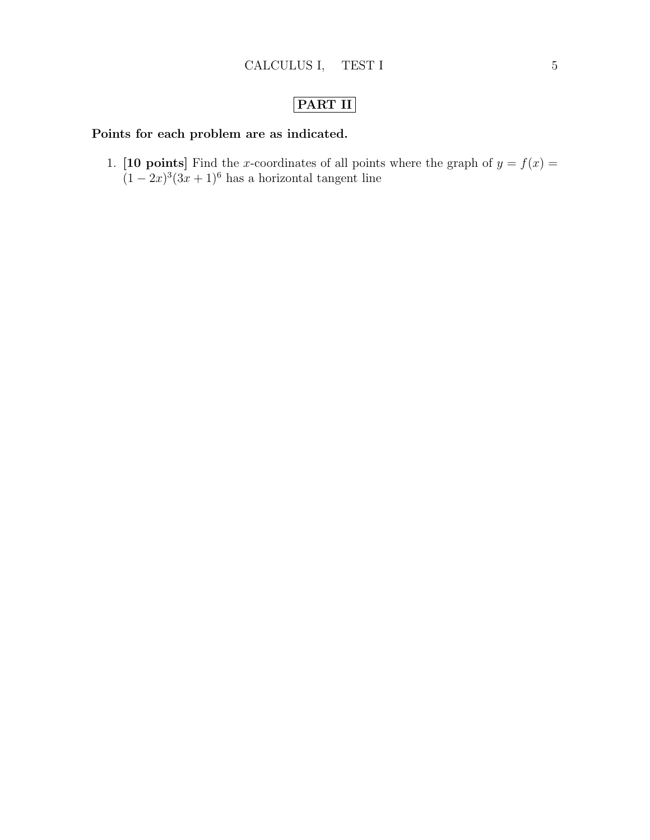# PART II

### Points for each problem are as indicated.

1. [10 points] Find the x-coordinates of all points where the graph of  $y = f(x) =$  $(1-2x)^3(3x+1)^6$  has a horizontal tangent line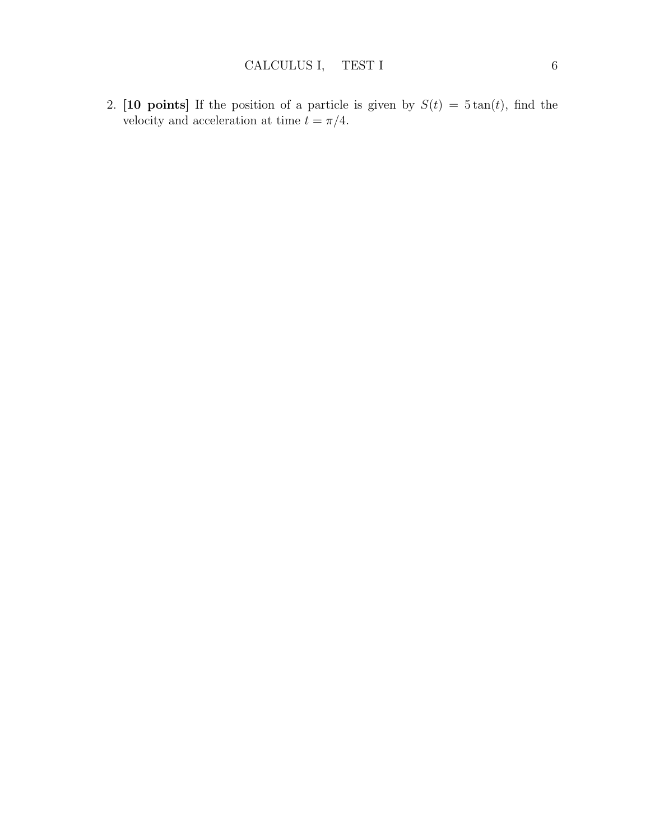2. [10 points] If the position of a particle is given by  $S(t) = 5 \tan(t)$ , find the velocity and acceleration at time  $t = \pi/4$ .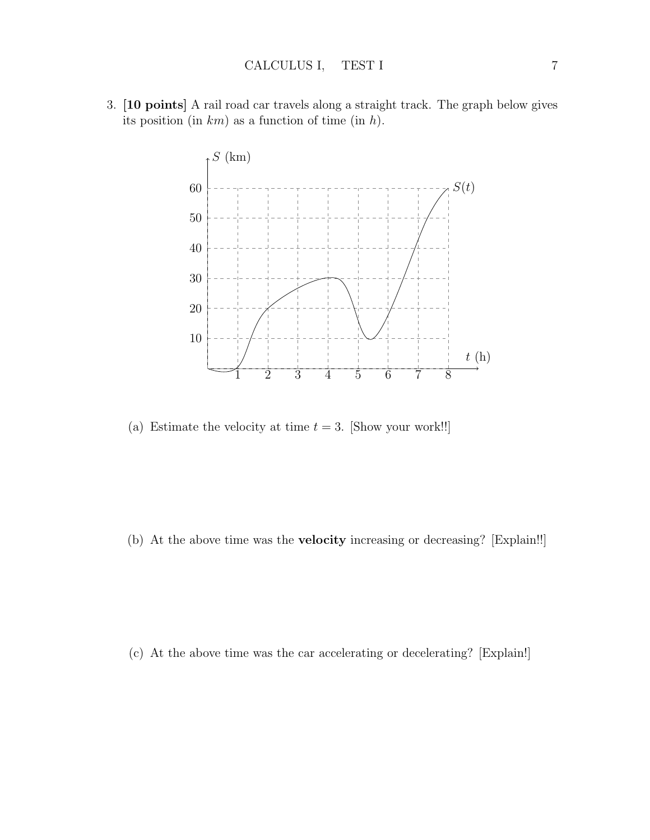3. [10 points] A rail road car travels along a straight track. The graph below gives its position (in  $km$ ) as a function of time (in  $h$ ).



(a) Estimate the velocity at time  $t = 3$ . [Show your work!!]

(b) At the above time was the velocity increasing or decreasing? [Explain!!]

(c) At the above time was the car accelerating or decelerating? [Explain!]